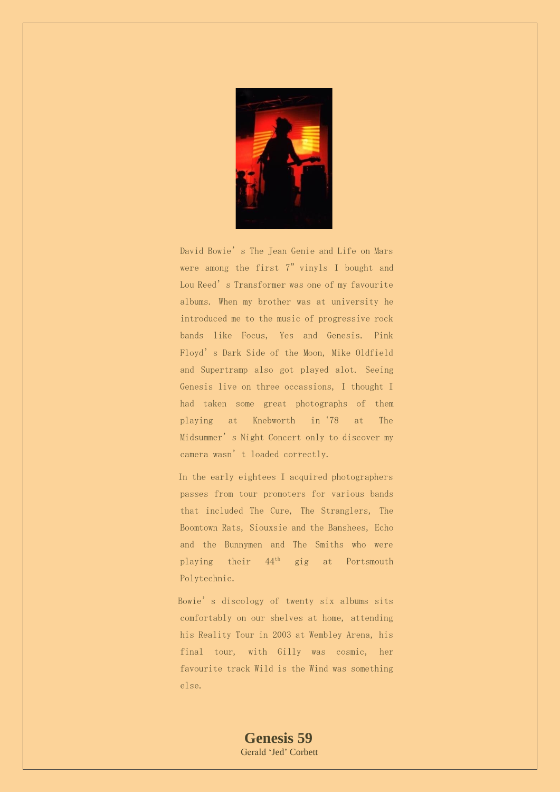

David Bowie's The Jean Genie and Life on Mars were among the first 7" vinyls I bought and Lou Reed's Transformer was one of my favourite albums. When my brother was at university he introduced me to the music of progressive rock bands like Focus, Yes and Genesis. Pink Floyd's Dark Side of the Moon, Mike Oldfield and Supertramp also got played alot. Seeing Genesis live on three occassions, I thought I had taken some great photographs of them playing at Knebworth in'78 at The Midsummer's Night Concert only to discover my camera wasn't loaded correctly.

In the early eightees I acquired photographers passes from tour promoters for various bands that included The Cure, The Stranglers, The Boomtown Rats, Siouxsie and the Banshees, Echo and the Bunnymen and The Smiths who were playing their  $44<sup>th</sup>$  gig at Portsmouth Polytechnic.

Bowie's discology of twenty six albums sits comfortably on our shelves at home, attending his Reality Tour in 2003 at Wembley Arena, his final tour, with Gilly was cosmic, her favourite track Wild is the Wind was something else.

> **Genesis 59** Gerald 'Jed' Corbett